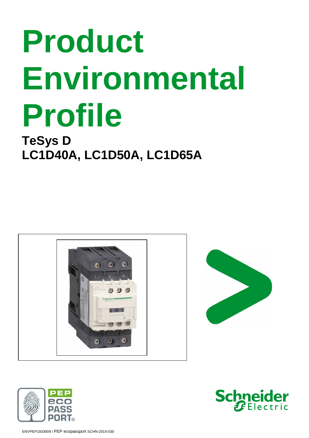## **TeSys D LC1D40A, LC1D50A, LC1D65A**







ENVPEP1503009 / PEP ecopassport SCHN-2015-030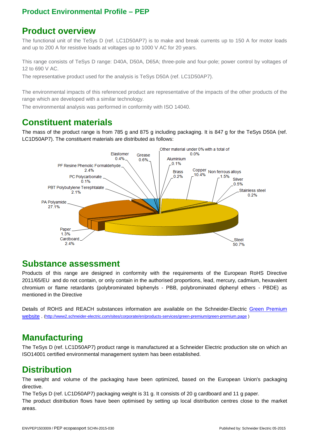#### **Product overview**

The functional unit of the TeSys D (ref. LC1D50AP7) is to make and break currents up to 150 A for motor loads and up to 200 A for resistive loads at voltages up to 1000 V AC for 20 years.

This range consists of TeSys D range: D40A, D50A, D65A; three-pole and four-pole; power control by voltages of 12 to 690 V AC.

The representative product used for the analysis is TeSys D50A (ref. LC1D50AP7).

The environmental impacts of this referenced product are representative of the impacts of the other products of the range which are developed with a similar technology.

The environmental analysis was performed in conformity with ISO 14040.

#### **Constituent materials**

The mass of the product range is from 785 g and 875 g including packaging. It is 847 g for the TeSys D50A (ref. LC1D50AP7). The constituent materials are distributed as follows:



#### **Substance assessment**

Products of this range are designed in conformity with the requirements of the European RoHS Directive 2011/65/EU and do not contain, or only contain in the authorised proportions, lead, mercury, cadmium, hexavalent chromium or flame retardants (polybrominated biphenyls - PBB, polybrominated diphenyl ethers - PBDE) as mentioned in the Directive

Details of ROHS and REACH substances information are available on the Schneider-Electric Green Premium website . (http://www2.schneider-electric.com/sites/corporate/en/products-services/green-premium/green-premium.page )

#### **Manufacturing**

The TeSys D (ref. LC1D50AP7) product range is manufactured at a Schneider Electric production site on which an ISO14001 certified environmental management system has been established.

#### **Distribution**

The weight and volume of the packaging have been optimized, based on the European Union's packaging directive.

The TeSys D (ref. LC1D50AP7) packaging weight is 31 g. It consists of 20 g cardboard and 11 g paper.

The product distribution flows have been optimised by setting up local distribution centres close to the market areas.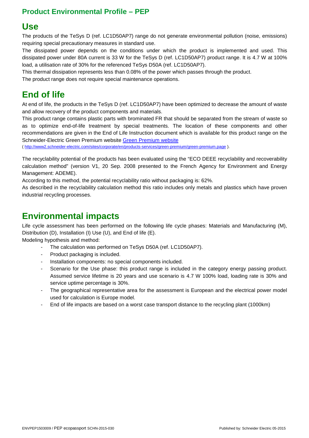#### **Use**

The products of the TeSys D (ref. LC1D50AP7) range do not generate environmental pollution (noise, emissions) requiring special precautionary measures in standard use.

The dissipated power depends on the conditions under which the product is implemented and used. This dissipated power under 80A current is 33 W for the TeSys D (ref. LC1D50AP7) product range. It is 4.7 W at 100% load, a utilisation rate of 30% for the referenced TeSys D50A (ref. LC1D50AP7).

This thermal dissipation represents less than 0.08% of the power which passes through the product.

The product range does not require special maintenance operations.

#### **End of life**

At end of life, the products in the TeSys D (ref. LC1D50AP7) have been optimized to decrease the amount of waste and allow recovery of the product components and materials.

This product range contains plastic parts with brominated FR that should be separated from the stream of waste so as to optimize end-of-life treatment by special treatments. The location of these components and other recommendations are given in the End of Life Instruction document which is available for this product range on the Schneider-Electric Green Premium website Green Premium website

( http://www2.schneider-electric.com/sites/corporate/en/products-services/green-premium/green-premium.page ).

The recyclability potential of the products has been evaluated using the "ECO DEEE recyclability and recoverability calculation method" (version V1, 20 Sep. 2008 presented to the French Agency for Environment and Energy Management: ADEME).

According to this method, the potential recyclability ratio without packaging is: 62%.

As described in the recyclability calculation method this ratio includes only metals and plastics which have proven industrial recycling processes.

#### **Environmental impacts**

Life cycle assessment has been performed on the following life cycle phases: Materials and Manufacturing (M), Distribution (D), Installation (I) Use (U), and End of life (E).

Modeling hypothesis and method:

- The calculation was performed on TeSys D50A (ref. LC1D50AP7).
- Product packaging is included.
- Installation components: no special components included.
- Scenario for the Use phase: this product range is included in the category energy passing product. Assumed service lifetime is 20 years and use scenario is 4.7 W 100% load, loading rate is 30% and service uptime percentage is 30%.
- The geographical representative area for the assessment is European and the electrical power model used for calculation is Europe model.
- End of life impacts are based on a worst case transport distance to the recycling plant (1000km)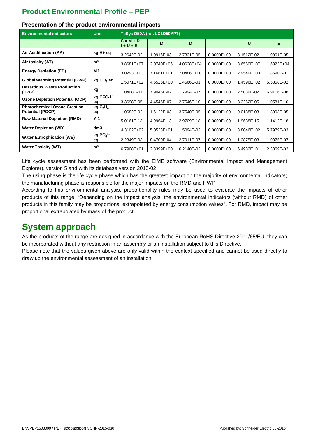| <b>Environmental indicators</b>                                | <b>Unit</b>                            | TeSys D50A (ref. LC1D50AP7) |                |            |                |                |                |  |  |
|----------------------------------------------------------------|----------------------------------------|-----------------------------|----------------|------------|----------------|----------------|----------------|--|--|
|                                                                |                                        | $S = M + D +$<br>1 + U + E  | M              | D          |                | U              | Е              |  |  |
| Air Acidification (AA)                                         | kg H+ eq                               | 3.2642E-02                  | 1.0916E-03     | 2.7331E-05 | $0.0000E + 00$ | 3.1512E-02     | 1.0961E-05     |  |  |
| Air toxicity (AT)                                              | m <sup>3</sup>                         | 3.8681E+07                  | 2.0740E+06     | 4.0628E+04 | $0.0000E + 00$ | 3.6550E+07     | $1.6323E + 04$ |  |  |
| <b>Energy Depletion (ED)</b>                                   | MJ                                     | 3.0293E+03                  | 7.1661E+01     | 2.0486E+00 | $0.0000E + 00$ | 2.9549E+03     | 7.8690E-01     |  |  |
| <b>Global Warming Potential (GWP)</b>                          | $kg CO2$ eq.                           | $1.5071E+02$                | 4.5525E+00     | 1.4566E-01 | $0.0000E + 00$ | 1.4596E+02     | 5.5858E-02     |  |  |
| <b>Hazardous Waste Production</b><br>(HWP)                     | kg                                     | 1.0408E-01                  | 7.9045E-02     | 1.7994E-07 | $0.0000E + 00$ | 2.5039E-02     | 6.9116E-08     |  |  |
| <b>Ozone Depletion Potential (ODP)</b>                         | kg CFC-11<br>eq.                       | 3.3698E-05                  | 4.4545E-07     | 2.7546E-10 | $0.0000E + 00$ | 3.3252E-05     | 1.0581E-10     |  |  |
| <b>Photochemical Ozone Creation</b><br><b>Potential (POCP)</b> | kgC <sub>2</sub> H <sub>4</sub><br>eq. | 1.0682E-02                  | 1.6122E-03     | 3.7540E-05 | $0.0000E + 00$ | 9.0188E-03     | 1.3903E-05     |  |  |
| <b>Raw Material Depletion (RMD)</b>                            | $Y-1$                                  | 5.0161E-13                  | 4.9964E-13     | 2.9709E-18 | $0.0000E + 00$ | 1.9688E-15     | 1.1412E-18     |  |  |
| <b>Water Depletion (WD)</b>                                    | dm3                                    | $4.3102E + 02$              | $5.0533E + 01$ | 1.5094E-02 | $0.0000E + 00$ | $3.8046E + 02$ | 5.7979E-03     |  |  |
| <b>Water Eutrophication (WE)</b>                               | kg $PO4$ <sup>3-</sup><br>eq.          | 2.2349E-03                  | 8.4700E-04     | 2.7011E-07 | $0.0000E + 00$ | 1.3875E-03     | 1.0375E-07     |  |  |
| <b>Water Toxicity (WT)</b>                                     | m <sup>3</sup>                         | 6.7908E+01                  | 2.8399E+00     | 6.2140E-02 | $0.0000E + 00$ | $6.4982E + 01$ | 2.3869E-02     |  |  |

#### **Presentation of the product environmental impacts**

Life cycle assessment has been performed with the EIME software (Environmental Impact and Management Explorer), version 5 and with its database version 2013-02

The using phase is the life cycle phase which has the greatest impact on the majority of environmental indicators; the manufacturing phase is responsible for the major impacts on the RMD and HWP.

According to this environmental analysis, proportionality rules may be used to evaluate the impacts of other products of this range: "Depending on the impact analysis, the environmental indicators (without RMD) of other products in this family may be proportional extrapolated by energy consumption values". For RMD, impact may be proportional extrapolated by mass of the product.

#### **System approach**

As the products of the range are designed in accordance with the European RoHS Directive 2011/65/EU, they can be incorporated without any restriction in an assembly or an installation subject to this Directive.

Please note that the values given above are only valid within the context specified and cannot be used directly to draw up the environmental assessment of an installation.